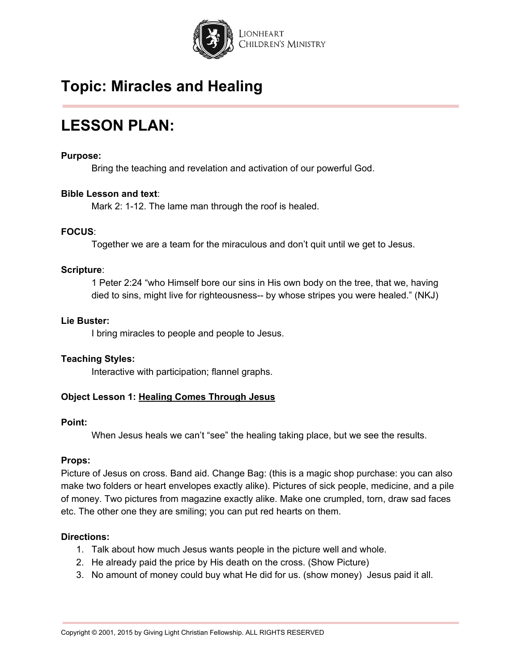

# **LESSON PLAN:**

#### **Purpose:**

Bring the teaching and revelation and activation of our powerful God.

#### **Bible Lesson and text**:

Mark 2: 1-12. The lame man through the roof is healed.

#### **FOCUS**:

Together we are a team for the miraculous and don't quit until we get to Jesus.

#### **Scripture**:

1 Peter 2:24 "who Himself bore our sins in His own body on the tree, that we, having died to sins, might live for righteousness-- by whose stripes you were healed." (NKJ)

#### **Lie Buster:**

I bring miracles to people and people to Jesus.

### **Teaching Styles:**

Interactive with participation; flannel graphs.

### **Object Lesson 1: Healing Comes Through Jesus**

#### **Point:**

When Jesus heals we can't "see" the healing taking place, but we see the results.

#### **Props:**

Picture of Jesus on cross. Band aid. Change Bag: (this is a magic shop purchase: you can also make two folders or heart envelopes exactly alike). Pictures of sick people, medicine, and a pile of money. Two pictures from magazine exactly alike. Make one crumpled, torn, draw sad faces etc. The other one they are smiling; you can put red hearts on them.

#### **Directions:**

- 1. Talk about how much Jesus wants people in the picture well and whole.
- 2. He already paid the price by His death on the cross. (Show Picture)
- 3. No amount of money could buy what He did for us. (show money) Jesus paid it all.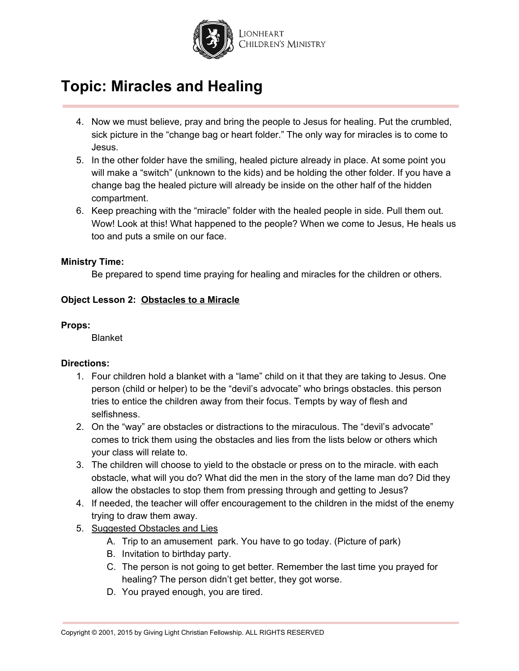

- 4. Now we must believe, pray and bring the people to Jesus for healing. Put the crumbled, sick picture in the "change bag or heart folder." The only way for miracles is to come to Jesus.
- 5. In the other folder have the smiling, healed picture already in place. At some point you will make a "switch" (unknown to the kids) and be holding the other folder. If you have a change bag the healed picture will already be inside on the other half of the hidden compartment.
- 6. Keep preaching with the "miracle" folder with the healed people in side. Pull them out. Wow! Look at this! What happened to the people? When we come to Jesus, He heals us too and puts a smile on our face.

#### **Ministry Time:**

Be prepared to spend time praying for healing and miracles for the children or others.

### **Object Lesson 2: Obstacles to a Miracle**

#### **Props:**

Blanket

#### **Directions:**

- 1. Four children hold a blanket with a "lame" child on it that they are taking to Jesus. One person (child or helper) to be the "devil's advocate" who brings obstacles. this person tries to entice the children away from their focus. Tempts by way of flesh and selfishness.
- 2. On the "way" are obstacles or distractions to the miraculous. The "devil's advocate" comes to trick them using the obstacles and lies from the lists below or others which your class will relate to.
- 3. The children will choose to yield to the obstacle or press on to the miracle. with each obstacle, what will you do? What did the men in the story of the lame man do? Did they allow the obstacles to stop them from pressing through and getting to Jesus?
- 4. If needed, the teacher will offer encouragement to the children in the midst of the enemy trying to draw them away.
- 5. Suggested Obstacles and Lies
	- A. Trip to an amusement park. You have to go today. (Picture of park)
	- B. Invitation to birthday party.
	- C. The person is not going to get better. Remember the last time you prayed for healing? The person didn't get better, they got worse.
	- D. You prayed enough, you are tired.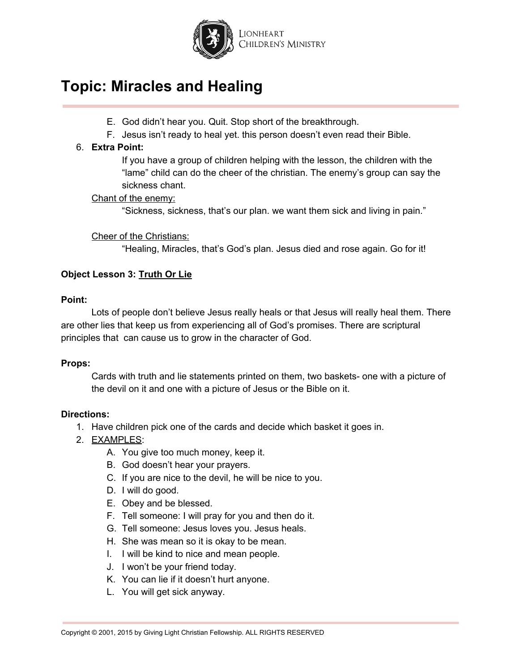

- E. God didn't hear you. Quit. Stop short of the breakthrough.
- F. Jesus isn't ready to heal yet. this person doesn't even read their Bible.

## 6. **Extra Point:**

If you have a group of children helping with the lesson, the children with the "lame" child can do the cheer of the christian. The enemy's group can say the sickness chant.

## Chant of the enemy:

"Sickness, sickness, that's our plan. we want them sick and living in pain."

### Cheer of the Christians:

"Healing, Miracles, that's God's plan. Jesus died and rose again. Go for it!

## **Object Lesson 3: Truth Or Lie**

#### **Point:**

Lots of people don't believe Jesus really heals or that Jesus will really heal them. There are other lies that keep us from experiencing all of God's promises. There are scriptural principles that can cause us to grow in the character of God.

### **Props:**

Cards with truth and lie statements printed on them, two baskets- one with a picture of the devil on it and one with a picture of Jesus or the Bible on it.

### **Directions:**

- 1. Have children pick one of the cards and decide which basket it goes in.
- 2. EXAMPLES:
	- A. You give too much money, keep it.
	- B. God doesn't hear your prayers.
	- C. If you are nice to the devil, he will be nice to you.
	- D. I will do good.
	- E. Obey and be blessed.
	- F. Tell someone: I will pray for you and then do it.
	- G. Tell someone: Jesus loves you. Jesus heals.
	- H. She was mean so it is okay to be mean.
	- I. I will be kind to nice and mean people.
	- J. I won't be your friend today.
	- K. You can lie if it doesn't hurt anyone.
	- L. You will get sick anyway.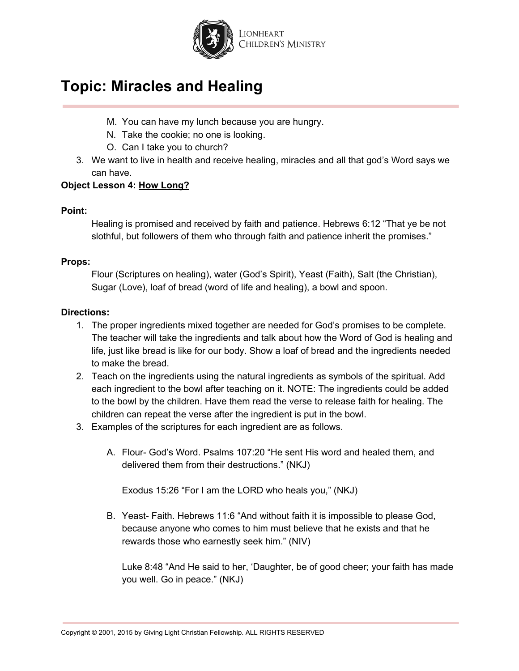

- M. You can have my lunch because you are hungry.
- N. Take the cookie; no one is looking.
- O. Can I take you to church?
- 3. We want to live in health and receive healing, miracles and all that god's Word says we can have.

## **Object Lesson 4: How Long?**

#### **Point:**

Healing is promised and received by faith and patience. Hebrews 6:12 "That ye be not slothful, but followers of them who through faith and patience inherit the promises."

### **Props:**

Flour (Scriptures on healing), water (God's Spirit), Yeast (Faith), Salt (the Christian), Sugar (Love), loaf of bread (word of life and healing), a bowl and spoon.

#### **Directions:**

- 1. The proper ingredients mixed together are needed for God's promises to be complete. The teacher will take the ingredients and talk about how the Word of God is healing and life, just like bread is like for our body. Show a loaf of bread and the ingredients needed to make the bread.
- 2. Teach on the ingredients using the natural ingredients as symbols of the spiritual. Add each ingredient to the bowl after teaching on it. NOTE: The ingredients could be added to the bowl by the children. Have them read the verse to release faith for healing. The children can repeat the verse after the ingredient is put in the bowl.
- 3. Examples of the scriptures for each ingredient are as follows.
	- A. Flour- God's Word. Psalms 107:20 "He sent His word and healed them, and delivered them from their destructions." (NKJ)

Exodus 15:26 "For I am the LORD who heals you," (NKJ)

B. Yeast- Faith. Hebrews 11:6 "And without faith it is impossible to please God, because anyone who comes to him must believe that he exists and that he rewards those who earnestly seek him." (NIV)

Luke 8:48 "And He said to her, 'Daughter, be of good cheer; your faith has made you well. Go in peace." (NKJ)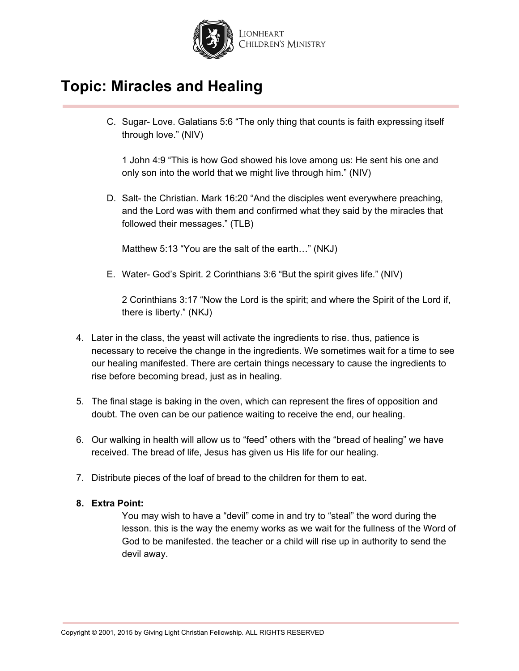

C. Sugar- Love. Galatians 5:6 "The only thing that counts is faith expressing itself through love." (NIV)

1 John 4:9 "This is how God showed his love among us: He sent his one and only son into the world that we might live through him." (NIV)

D. Salt- the Christian. Mark 16:20 "And the disciples went everywhere preaching, and the Lord was with them and confirmed what they said by the miracles that followed their messages." (TLB)

Matthew 5:13 "You are the salt of the earth…" (NKJ)

E. Water- God's Spirit. 2 Corinthians 3:6 "But the spirit gives life." (NIV)

2 Corinthians 3:17 "Now the Lord is the spirit; and where the Spirit of the Lord if, there is liberty." (NKJ)

- 4. Later in the class, the yeast will activate the ingredients to rise. thus, patience is necessary to receive the change in the ingredients. We sometimes wait for a time to see our healing manifested. There are certain things necessary to cause the ingredients to rise before becoming bread, just as in healing.
- 5. The final stage is baking in the oven, which can represent the fires of opposition and doubt. The oven can be our patience waiting to receive the end, our healing.
- 6. Our walking in health will allow us to "feed" others with the "bread of healing" we have received. The bread of life, Jesus has given us His life for our healing.
- 7. Distribute pieces of the loaf of bread to the children for them to eat.

### **8. Extra Point:**

You may wish to have a "devil" come in and try to "steal" the word during the lesson. this is the way the enemy works as we wait for the fullness of the Word of God to be manifested. the teacher or a child will rise up in authority to send the devil away.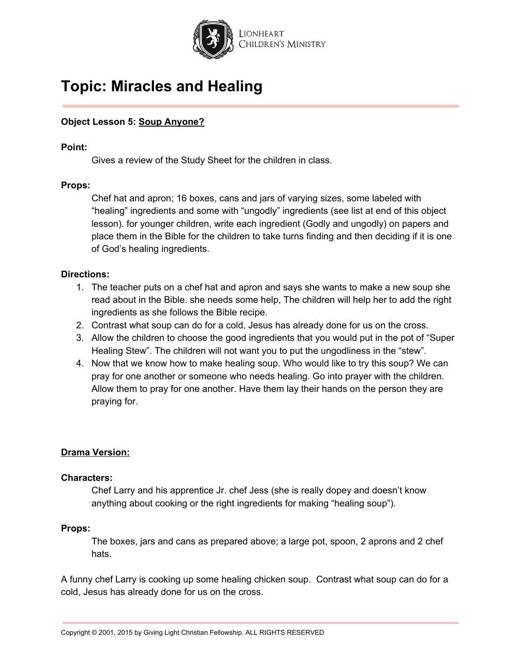

## **Object Lesson 5: Soup Anyone?**

#### **Point:**

Gives a review of the Study Sheet for the children in class.

#### **Props:**

Chef hat and apron; 16 boxes, cans and jars of varying sizes, some labeled with "healing" ingredients and some with "ungodly" ingredients (see list at end of this object lesson). for younger children, write each ingredient (Godly and ungodly) on papers and place them in the Bible for the children to take turns finding and then deciding if it is one of God's healing ingredients.

#### **Directions:**

- 1. The teacher puts on a chef hat and apron and says she wants to make a new soup she read about in the Bible. she needs some help, The children will help her to add the right ingredients as she follows the Bible recipe.
- 2. Contrast what soup can do for a cold, Jesus has already done for us on the cross.
- 3. Allow the children to choose the good ingredients that you would put in the pot of "Super Healing Stew". The children will not want you to put the ungodliness in the "stew".
- 4. Now that we know how to make healing soup. Who would like to try this soup? We can pray for one another or someone who needs healing. Go into prayer with the children. Allow them to pray for one another. Have them lay their hands on the person they are praying for.

#### **Drama Version:**

#### **Characters:**

Chef Larry and his apprentice Jr. chef Jess (she is really dopey and doesn't know anything about cooking or the right ingredients for making "healing soup").

#### **Props:**

The boxes, jars and cans as prepared above; a large pot, spoon, 2 aprons and 2 chef hats.

A funny chef Larry is cooking up some healing chicken soup. Contrast what soup can do for a cold, Jesus has already done for us on the cross.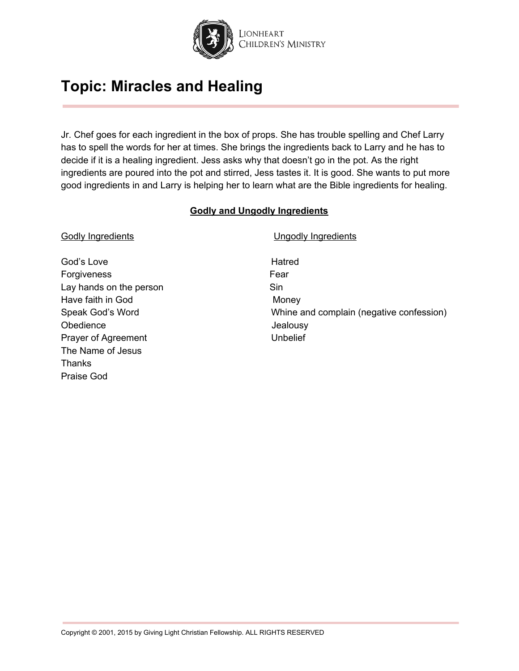

Jr. Chef goes for each ingredient in the box of props. She has trouble spelling and Chef Larry has to spell the words for her at times. She brings the ingredients back to Larry and he has to decide if it is a healing ingredient. Jess asks why that doesn't go in the pot. As the right ingredients are poured into the pot and stirred, Jess tastes it. It is good. She wants to put more good ingredients in and Larry is helping her to learn what are the Bible ingredients for healing.

#### **Godly and Ungodly Ingredients**

| <b>Godly Ingredients</b> | <b>Ungodly Ingredients</b>               |
|--------------------------|------------------------------------------|
| God's Love               | Hatred                                   |
| Forgiveness              | Fear                                     |
| Lay hands on the person  | Sin                                      |
| Have faith in God        | Money                                    |
| Speak God's Word         | Whine and complain (negative confession) |
| Obedience                | Jealousy                                 |
| Prayer of Agreement      | Unbelief                                 |
| The Name of Jesus        |                                          |
| Thanks                   |                                          |
| Praise God               |                                          |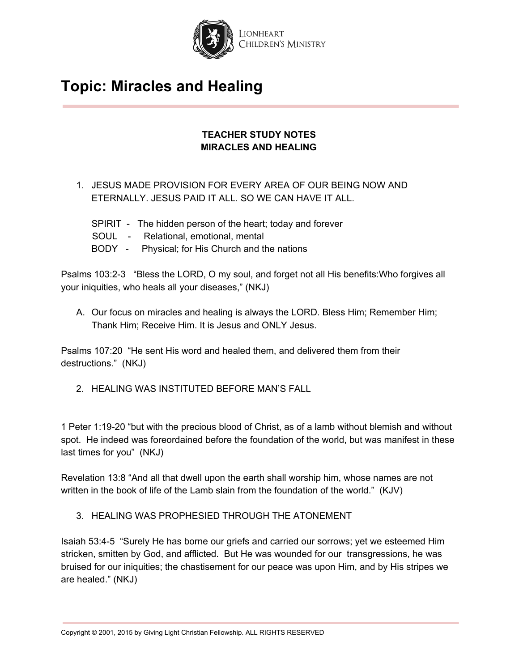

## **TEACHER STUDY NOTES MIRACLES AND HEALING**

- 1. JESUS MADE PROVISION FOR EVERY AREA OF OUR BEING NOW AND ETERNALLY. JESUS PAID IT ALL. SO WE CAN HAVE IT ALL.
	- SPIRIT The hidden person of the heart; today and forever
	- SOUL Relational, emotional, mental
	- BODY Physical; for His Church and the nations

Psalms 103:2-3 "Bless the LORD, O my soul, and forget not all His benefits:Who forgives all your iniquities, who heals all your diseases," (NKJ)

A. Our focus on miracles and healing is always the LORD. Bless Him; Remember Him; Thank Him; Receive Him. It is Jesus and ONLY Jesus.

Psalms 107:20 "He sent His word and healed them, and delivered them from their destructions." (NKJ)

2. HEALING WAS INSTITUTED BEFORE MAN'S FALL

1 Peter 1:19-20 "but with the precious blood of Christ, as of a lamb without blemish and without spot. He indeed was foreordained before the foundation of the world, but was manifest in these last times for you" (NKJ)

Revelation 13:8 "And all that dwell upon the earth shall worship him, whose names are not written in the book of life of the Lamb slain from the foundation of the world." (KJV)

3. HEALING WAS PROPHESIED THROUGH THE ATONEMENT

Isaiah 53:4-5 "Surely He has borne our griefs and carried our sorrows; yet we esteemed Him stricken, smitten by God, and afflicted. But He was wounded for our transgressions, he was bruised for our iniquities; the chastisement for our peace was upon Him, and by His stripes we are healed." (NKJ)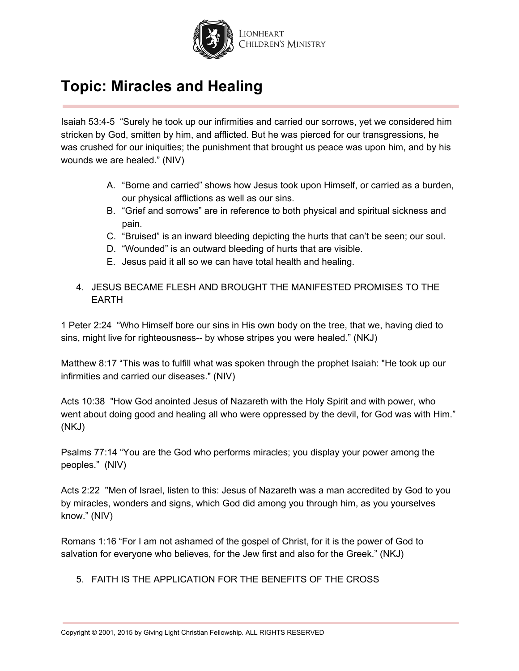

Isaiah 53:4-5 "Surely he took up our infirmities and carried our sorrows, yet we considered him stricken by God, smitten by him, and afflicted. But he was pierced for our transgressions, he was crushed for our iniquities; the punishment that brought us peace was upon him, and by his wounds we are healed." (NIV)

- A. "Borne and carried" shows how Jesus took upon Himself, or carried as a burden, our physical afflictions as well as our sins.
- B. "Grief and sorrows" are in reference to both physical and spiritual sickness and pain.
- C. "Bruised" is an inward bleeding depicting the hurts that can't be seen; our soul.
- D. "Wounded" is an outward bleeding of hurts that are visible.
- E. Jesus paid it all so we can have total health and healing.

## 4. JESUS BECAME FLESH AND BROUGHT THE MANIFESTED PROMISES TO THE EARTH

1 Peter 2:24 "Who Himself bore our sins in His own body on the tree, that we, having died to sins, might live for righteousness-- by whose stripes you were healed." (NKJ)

Matthew 8:17 "This was to fulfill what was spoken through the prophet Isaiah: "He took up our infirmities and carried our diseases." (NIV)

Acts 10:38 "How God anointed Jesus of Nazareth with the Holy Spirit and with power, who went about doing good and healing all who were oppressed by the devil, for God was with Him." (NKJ)

Psalms 77:14 "You are the God who performs miracles; you display your power among the peoples." (NIV)

Acts 2:22 "Men of Israel, listen to this: Jesus of Nazareth was a man accredited by God to you by miracles, wonders and signs, which God did among you through him, as you yourselves know." (NIV)

Romans 1:16 "For I am not ashamed of the gospel of Christ, for it is the power of God to salvation for everyone who believes, for the Jew first and also for the Greek." (NKJ)

5. FAITH IS THE APPLICATION FOR THE BENEFITS OF THE CROSS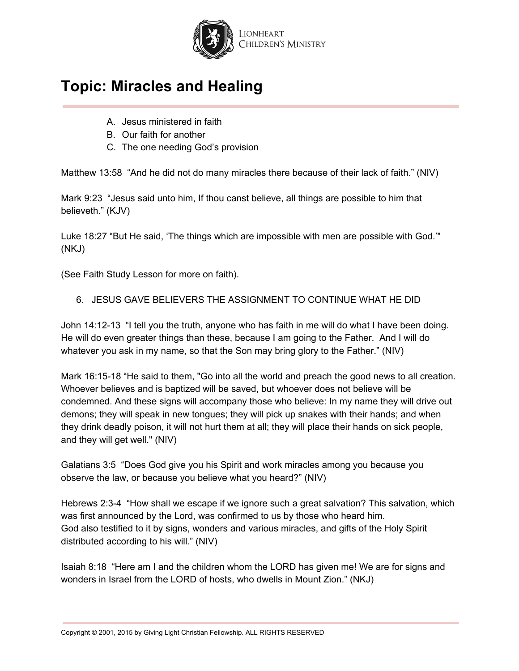

- A. Jesus ministered in faith
- B. Our faith for another
- C. The one needing God's provision

Matthew 13:58 "And he did not do many miracles there because of their lack of faith." (NIV)

Mark 9:23 "Jesus said unto him, If thou canst believe, all things are possible to him that believeth." (KJV)

Luke 18:27 "But He said, 'The things which are impossible with men are possible with God.'" (NKJ)

(See Faith Study Lesson for more on faith).

6. JESUS GAVE BELIEVERS THE ASSIGNMENT TO CONTINUE WHAT HE DID

John 14:12-13 "I tell you the truth, anyone who has faith in me will do what I have been doing. He will do even greater things than these, because I am going to the Father. And I will do whatever you ask in my name, so that the Son may bring glory to the Father." (NIV)

Mark 16:15-18 "He said to them, "Go into all the world and preach the good news to all creation. Whoever believes and is baptized will be saved, but whoever does not believe will be condemned. And these signs will accompany those who believe: In my name they will drive out demons; they will speak in new tongues; they will pick up snakes with their hands; and when they drink deadly poison, it will not hurt them at all; they will place their hands on sick people, and they will get well." (NIV)

Galatians 3:5 "Does God give you his Spirit and work miracles among you because you observe the law, or because you believe what you heard?" (NIV)

Hebrews 2:3-4 "How shall we escape if we ignore such a great salvation? This salvation, which was first announced by the Lord, was confirmed to us by those who heard him. God also testified to it by signs, wonders and various miracles, and gifts of the Holy Spirit distributed according to his will." (NIV)

Isaiah 8:18 "Here am I and the children whom the LORD has given me! We are for signs and wonders in Israel from the LORD of hosts, who dwells in Mount Zion." (NKJ)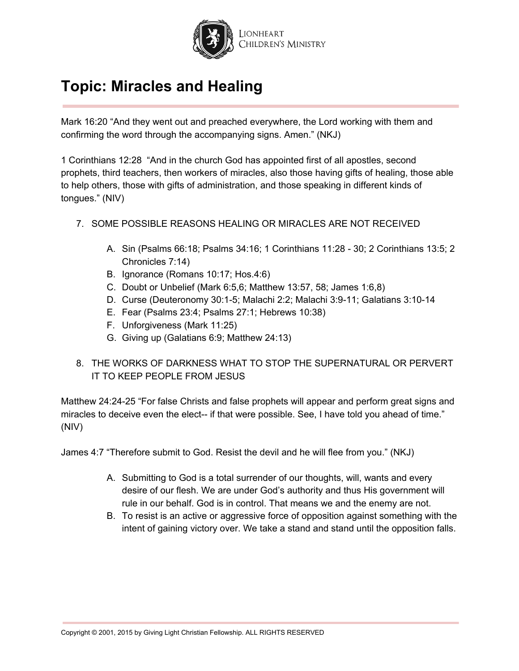

Mark 16:20 "And they went out and preached everywhere, the Lord working with them and confirming the word through the accompanying signs. Amen." (NKJ)

1 Corinthians 12:28 "And in the church God has appointed first of all apostles, second prophets, third teachers, then workers of miracles, also those having gifts of healing, those able to help others, those with gifts of administration, and those speaking in different kinds of tongues." (NIV)

- 7. SOME POSSIBLE REASONS HEALING OR MIRACLES ARE NOT RECEIVED
	- A. Sin (Psalms 66:18; Psalms 34:16; 1 Corinthians 11:28 30; 2 Corinthians 13:5; 2 Chronicles 7:14)
	- B. Ignorance (Romans 10:17; Hos.4:6)
	- C. Doubt or Unbelief (Mark 6:5,6; Matthew 13:57, 58; James 1:6,8)
	- D. Curse (Deuteronomy 30:1-5; Malachi 2:2; Malachi 3:9-11; Galatians 3:10-14
	- E. Fear (Psalms 23:4; Psalms 27:1; Hebrews 10:38)
	- F. Unforgiveness (Mark 11:25)
	- G. Giving up (Galatians 6:9; Matthew 24:13)
- 8. THE WORKS OF DARKNESS WHAT TO STOP THE SUPERNATURAL OR PERVERT IT TO KEEP PEOPLE FROM JESUS

Matthew 24:24-25 "For false Christs and false prophets will appear and perform great signs and miracles to deceive even the elect-- if that were possible. See, I have told you ahead of time." (NIV)

James 4:7 "Therefore submit to God. Resist the devil and he will flee from you." (NKJ)

- A. Submitting to God is a total surrender of our thoughts, will, wants and every desire of our flesh. We are under God's authority and thus His government will rule in our behalf. God is in control. That means we and the enemy are not.
- B. To resist is an active or aggressive force of opposition against something with the intent of gaining victory over. We take a stand and stand until the opposition falls.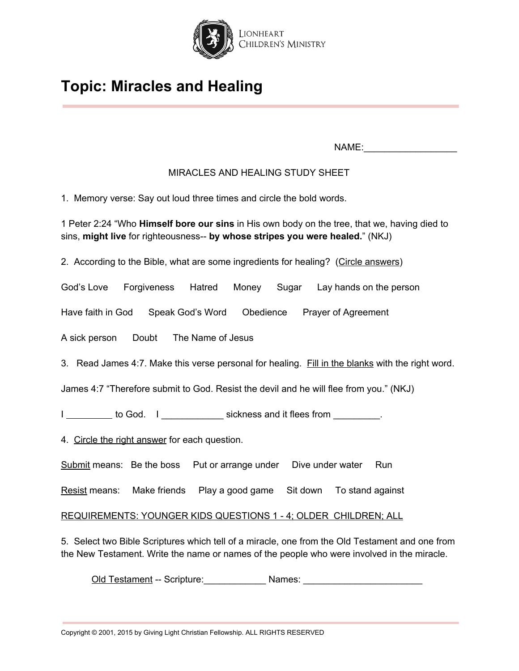

NAME:\_\_\_\_\_\_\_\_\_\_\_\_\_\_\_\_\_\_

## MIRACLES AND HEALING STUDY SHEET

1. Memory verse: Say out loud three times and circle the bold words.

1 Peter 2:24 "Who **Himself bore our sins** in His own body on the tree, that we, having died to sins, **might live** for righteousness-- **by whose stripes you were healed.**" (NKJ)

2. According to the Bible, what are some ingredients for healing? (Circle answers)

God's Love Forgiveness Hatred Money Sugar Lay hands on the person

Have faith in God Speak God's Word Obedience Prayer of Agreement

A sick person Doubt The Name of Jesus

3. Read James 4:7. Make this verse personal for healing. Fill in the blanks with the right word.

James 4:7 "Therefore submit to God. Resist the devil and he will flee from you." (NKJ)

I \_\_\_\_\_\_\_\_\_\_ to God. I \_\_\_\_\_\_\_\_\_\_\_\_\_ sickness and it flees from \_\_\_\_\_\_\_\_.

4. Circle the right answer for each question.

Submit means: Be the boss Put or arrange under Dive under water Run

Resist means: Make friends Play a good game Sit down To stand against

REQUIREMENTS: YOUNGER KIDS QUESTIONS 1 - 4; OLDER CHILDREN; ALL

5. Select two Bible Scriptures which tell of a miracle, one from the Old Testament and one from the New Testament. Write the name or names of the people who were involved in the miracle.

Old Testament -- Scripture:\_\_\_\_\_\_\_\_\_\_\_\_ Names: \_\_\_\_\_\_\_\_\_\_\_\_\_\_\_\_\_\_\_\_\_\_\_